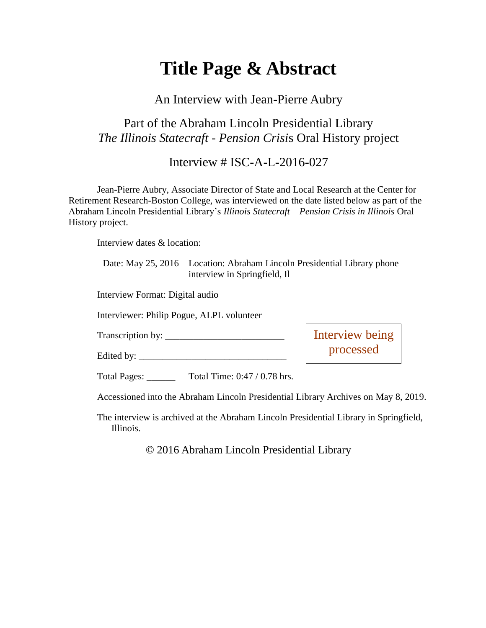# **Title Page & Abstract**

#### An Interview with Jean-Pierre Aubry

### Part of the Abraham Lincoln Presidential Library *The Illinois Statecraft - Pension Crisi*s Oral History project

Interview # ISC-A-L-2016-027

Jean-Pierre Aubry, Associate Director of State and Local Research at the Center for Retirement Research-Boston College, was interviewed on the date listed below as part of the Abraham Lincoln Presidential Library's *Illinois Statecraft – Pension Crisis in Illinois* Oral History project.

Interview dates & location:

Date: May 25, 2016 Location: Abraham Lincoln Presidential Library phone interview in Springfield, Il

Interview Format: Digital audio

Interviewer: Philip Pogue, ALPL volunteer

Edited by:  $\frac{1}{2}$   $\frac{1}{2}$   $\frac{1}{2}$   $\frac{1}{2}$   $\frac{1}{2}$   $\frac{1}{2}$   $\frac{1}{2}$   $\frac{1}{2}$   $\frac{1}{2}$   $\frac{1}{2}$   $\frac{1}{2}$   $\frac{1}{2}$   $\frac{1}{2}$   $\frac{1}{2}$   $\frac{1}{2}$   $\frac{1}{2}$   $\frac{1}{2}$   $\frac{1}{2}$   $\frac{1}{2}$   $\frac{1}{2}$   $\frac{1}{2}$ 

Transcription by: \_\_\_\_\_\_\_\_\_\_\_\_\_\_\_\_\_\_\_\_\_\_\_\_\_

Interview being processed

Total Pages: Total Time: 0:47 / 0.78 hrs.

Accessioned into the Abraham Lincoln Presidential Library Archives on May 8, 2019.

The interview is archived at the Abraham Lincoln Presidential Library in Springfield, Illinois.

© 2016 Abraham Lincoln Presidential Library